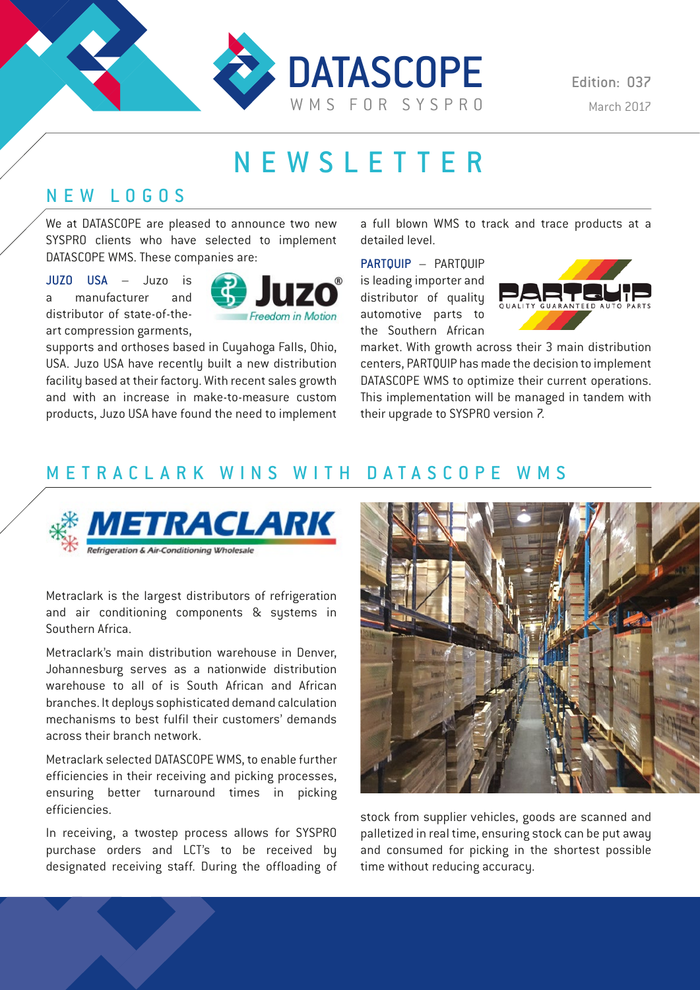

Edition: 037

# NEWSLETTER

### NEW LOGOS

We at DATASCOPE are pleased to announce two new SYSPRO clients who have selected to implement DATASCOPE WMS. These companies are:

JUZO USA – Juzo is a manufacturer and distributor of state-of-theart compression garments,



supports and orthoses based in Cuyahoga Falls, Ohio, USA. Juzo USA have recently built a new distribution facility based at their factory. With recent sales growth and with an increase in make-to-measure custom products, Juzo USA have found the need to implement

a full blown WMS to track and trace products at a detailed level.

PARTOUIP - PARTOUIP is leading importer and distributor of quality automotive parts to the Southern African



market. With growth across their 3 main distribution centers, PARTQUIP has made the decision to implement DATASCOPE WMS to optimize their current operations. This implementation will be managed in tandem with their upgrade to SYSPRO version 7.

### METRACLARK WINS WITH DATASCOPE WMS



Metraclark is the largest distributors of refrigeration and air conditioning components & systems in Southern Africa.

Metraclark's main distribution warehouse in Denver, Johannesburg serves as a nationwide distribution warehouse to all of is South African and African branches. It deploys sophisticated demand calculation mechanisms to best fulfil their customers' demands across their branch network.

Metraclark selected DATASCOPE WMS, to enable further efficiencies in their receiving and picking processes, ensuring better turnaround times in picking efficiencies.

In receiving, a twostep process allows for SYSPRO purchase orders and LCT's to be received by designated receiving staff. During the offloading of



stock from supplier vehicles, goods are scanned and palletized in real time, ensuring stock can be put away and consumed for picking in the shortest possible time without reducing accuracy.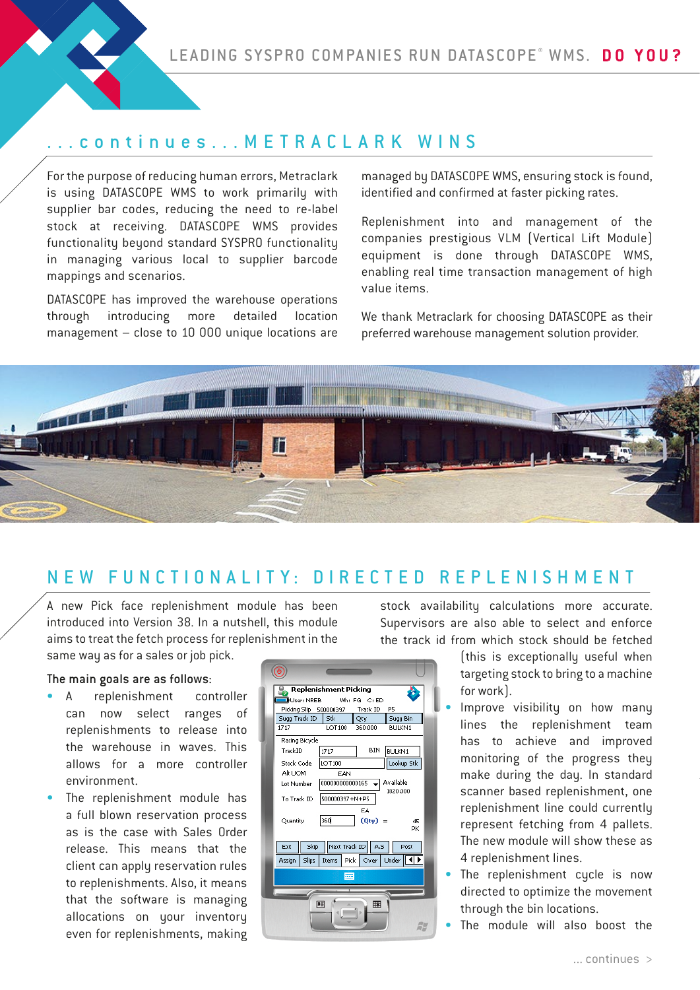### ...continues... METRACLARK WINS

For the purpose of reducing human errors, Metraclark is using DATASCOPE WMS to work primarily with supplier bar codes, reducing the need to re-label stock at receiving. DATASCOPE WMS provides functionality beyond standard SYSPRO functionality in managing various local to supplier barcode mappings and scenarios.

DATASCOPE has improved the warehouse operations through introducing more detailed location management – close to 10 000 unique locations are

managed by DATASCOPE WMS, ensuring stock is found, identified and confirmed at faster picking rates.

Replenishment into and management of the companies prestigious VLM (Vertical Lift Module) equipment is done through DATASCOPE WMS, enabling real time transaction management of high value items.

We thank Metraclark for choosing DATASCOPE as their preferred warehouse management solution provider.



### NEW FUNCTIONALITY: DIRECTED REPLENISHMENT

A new Pick face replenishment module has been introduced into Version 38. In a nutshell, this module aims to treat the fetch process for replenishment in the same way as for a sales or job pick.

#### The main goals are as follows:

- A replenishment controller can now select ranges of replenishments to release into the warehouse in waves. This allows for a more controller environment.
- The replenishment module has a full blown reservation process as is the case with Sales Order release. This means that the client can apply reservation rules to replenishments. Also, it means that the software is managing allocations on your inventory even for replenishments, making



stock availability calculations more accurate. Supervisors are also able to select and enforce the track id from which stock should be fetched

> (this is exceptionally useful when targeting stock to bring to a machine for work).

- Improve visibility on how many lines the replenishment team has to achieve and improved monitoring of the progress they make during the day. In standard scanner based replenishment, one replenishment line could currently represent fetching from 4 pallets. The new module will show these as 4 replenishment lines.
- The replenishment cycle is now directed to optimize the movement through the bin locations.
- The module will also boost the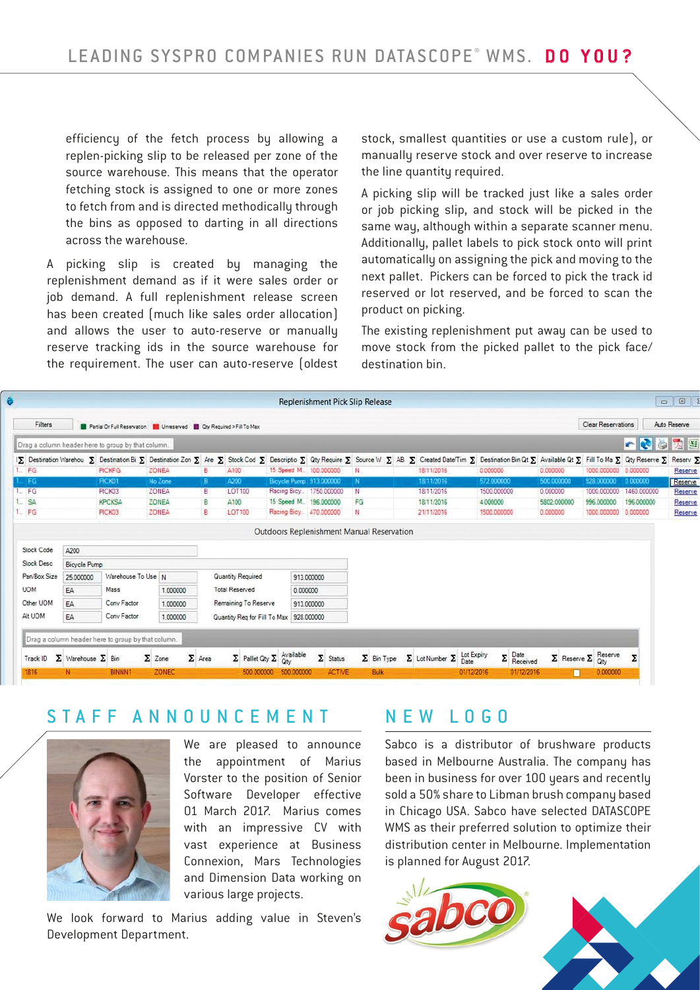efficiency of the fetch process by allowing a replen-picking slip to be released per zone of the source warehouse. This means that the operator fetching stock is assigned to one or more zones to fetch from and is directed methodically through the bins as opposed to darting in all directions across the warehouse.

A picking slip is created by managing the replenishment demand as if it were sales order or job demand. A full replenishment release screen has been created (much like sales order allocation) and allows the user to auto-reserve or manually reserve tracking ids in the source warehouse for the requirement. The user can auto-reserve (oldest

stock, smallest quantities or use a custom rule), or manually reserve stock and over reserve to increase the line quantity required.

A picking slip will be tracked just like a sales order or job picking slip, and stock will be picked in the same way, although within a separate scanner menu. Additionally, pallet labels to pick stock onto will print automatically on assigning the pick and moving to the next pallet. Pickers can be forced to pick the track id reserved or lot reserved, and be forced to scan the product on picking.

The existing replenishment put away can be used to move stock from the picked pallet to the pick face/ destination bin.

|              |                                                                       |                                                    |               |                   |                                         |                          | <b>Replenishment Pick Slip Release</b> |    |                   |  |                                         |                           |                                                                                                                                                                                                                     |                                   |             | $\begin{array}{c c c c c c} \hline \multicolumn{3}{c }{\textbf{a}} & \multicolumn{3}{c }{\textbf{a}} & \multicolumn{3}{c }{\textbf{a}} & \multicolumn{3}{c }{\textbf{a}} & \multicolumn{3}{c }{\textbf{a}} & \multicolumn{3}{c }{\textbf{a}} & \multicolumn{3}{c }{\textbf{a}} & \multicolumn{3}{c }{\textbf{a}} & \multicolumn{3}{c }{\textbf{a}} & \multicolumn{3}{c }{\textbf{a}} & \multicolumn{3}{c }{\textbf{a}} & \multicolumn{3}{c }{\textbf$ |
|--------------|-----------------------------------------------------------------------|----------------------------------------------------|---------------|-------------------|-----------------------------------------|--------------------------|----------------------------------------|----|-------------------|--|-----------------------------------------|---------------------------|---------------------------------------------------------------------------------------------------------------------------------------------------------------------------------------------------------------------|-----------------------------------|-------------|-------------------------------------------------------------------------------------------------------------------------------------------------------------------------------------------------------------------------------------------------------------------------------------------------------------------------------------------------------------------------------------------------------------------------------------------------------|
| Filters      | Partial Or Full Reservation   Unreserved   Cry Required > Fill To Max |                                                    |               |                   |                                         |                          |                                        |    |                   |  |                                         | <b>Clear Reservations</b> |                                                                                                                                                                                                                     | Auto Reserve                      |             |                                                                                                                                                                                                                                                                                                                                                                                                                                                       |
|              |                                                                       | Drag a column header here to group by that column. |               |                   |                                         |                          |                                        |    |                   |  |                                         |                           |                                                                                                                                                                                                                     |                                   | <b>ER</b>   | 内国<br>g.                                                                                                                                                                                                                                                                                                                                                                                                                                              |
|              |                                                                       |                                                    |               |                   |                                         |                          |                                        |    |                   |  |                                         |                           | 1∑ Destination Warehou ∑ Destination Bi ∑ Destination Zon ∑ Are ∑ Stock Cod ∑ Descriptio ∑ Qty Require ∑ Source W ∑ AB ∑ Created Date/Tim ∑ Destination Bin Qt ∑ Available Qt ∑ Fill To Ma ∑ Qty Reserve ∑ Reserv ∑ |                                   |             |                                                                                                                                                                                                                                                                                                                                                                                                                                                       |
| 1. FG        |                                                                       | <b>PICKEG</b>                                      | <b>ZONEA</b>  | в                 | A100                                    |                          | 15 Speed M., 100.000000                | N  |                   |  | 18/11/2016                              | 0.000000                  | 0.000000                                                                                                                                                                                                            | 1000.000000 0.000000              |             | Reserve                                                                                                                                                                                                                                                                                                                                                                                                                                               |
| FG           |                                                                       | PICK01                                             | No Zone       | B                 | A200                                    |                          | Bicycle Pump 913 000000                | N  |                   |  | 18/11/2016                              | 572 000000                | 500 000000                                                                                                                                                                                                          | 928 000000                        | 0.000000    | Reserve                                                                                                                                                                                                                                                                                                                                                                                                                                               |
| $1 - FG$     |                                                                       | PICK03                                             | ZONEA         | B.                | <b>LOT100</b>                           |                          | Racing Bicy 1750.000000                | N  |                   |  | 18/11/2016                              | 1500.000000               | 0.000000                                                                                                                                                                                                            | 1000.000000                       | 1460,000000 | Reserve                                                                                                                                                                                                                                                                                                                                                                                                                                               |
| $1 - SA$     |                                                                       | <b>KPCKSA</b>                                      | <b>ZONEA</b>  | B                 | A100                                    |                          | 15 Speed M., 196,000000                | FG |                   |  | 18/11/2016                              | 4.000000                  | 5802.000000                                                                                                                                                                                                         | 996.000000                        | 196.000000  | Reserve                                                                                                                                                                                                                                                                                                                                                                                                                                               |
| $1 - FG$     |                                                                       | PICK03                                             | <b>ZONEA</b>  | B                 | <b>LOT100</b>                           |                          | Racing Bicy 470.000000                 | N  |                   |  | 21/11/2016                              | 1500.000000               | 0.000000                                                                                                                                                                                                            | 1000.000000                       | 0.000000    | Reserve                                                                                                                                                                                                                                                                                                                                                                                                                                               |
| Stock Desc   | Bicycle Pump                                                          |                                                    |               |                   |                                         |                          |                                        |    |                   |  |                                         |                           |                                                                                                                                                                                                                     |                                   |             |                                                                                                                                                                                                                                                                                                                                                                                                                                                       |
|              |                                                                       |                                                    |               |                   |                                         |                          |                                        |    |                   |  |                                         |                           |                                                                                                                                                                                                                     |                                   |             |                                                                                                                                                                                                                                                                                                                                                                                                                                                       |
| Pan/Box Size | 25,000000                                                             | Warehouse To Use N                                 |               | Quantity Required |                                         |                          | 913.000000                             |    |                   |  |                                         |                           |                                                                                                                                                                                                                     |                                   |             |                                                                                                                                                                                                                                                                                                                                                                                                                                                       |
| <b>UOM</b>   | Mass<br>EA                                                            |                                                    | 1.000000      |                   | <b>Total Reserved</b>                   |                          | 0.000000                               |    |                   |  |                                         |                           |                                                                                                                                                                                                                     |                                   |             |                                                                                                                                                                                                                                                                                                                                                                                                                                                       |
| Other UOM    | Conv Factor<br><b>FA</b>                                              |                                                    | 1,000000      |                   | Remaining To Reserve                    |                          | 913 000000                             |    |                   |  |                                         |                           |                                                                                                                                                                                                                     |                                   |             |                                                                                                                                                                                                                                                                                                                                                                                                                                                       |
| Alt UOM      | EA                                                                    | Conv Factor                                        | 1.000000      |                   | Quantity Reg for Fill To Max 928.000000 |                          |                                        |    |                   |  |                                         |                           |                                                                                                                                                                                                                     |                                   |             |                                                                                                                                                                                                                                                                                                                                                                                                                                                       |
|              |                                                                       |                                                    |               |                   |                                         |                          |                                        |    |                   |  |                                         |                           |                                                                                                                                                                                                                     |                                   |             |                                                                                                                                                                                                                                                                                                                                                                                                                                                       |
|              |                                                                       | Drag a column header here to group by that column. |               |                   |                                         |                          |                                        |    |                   |  |                                         |                           |                                                                                                                                                                                                                     |                                   |             |                                                                                                                                                                                                                                                                                                                                                                                                                                                       |
| Track ID     | $\Sigma$ Warehouse $\Sigma$ Bin                                       |                                                    | $\Sigma$ Zone | $\Sigma$ Area     | $\Sigma$ Pallet Qty $\Sigma$ Available  |                          | $\Sigma$ Status                        |    | $\Sigma$ Bin Type |  | $\Sigma$ Lot Number $\Sigma$ Lot Expiry | $\Sigma$ Date<br>Received |                                                                                                                                                                                                                     | $\Sigma$ Reserve $\Sigma$ Reserve | Σ           |                                                                                                                                                                                                                                                                                                                                                                                                                                                       |
| 1816         | N                                                                     | <b>BINNN1</b>                                      | ZONEC         |                   |                                         | 500,000000<br>500.000000 | <b>ACTIVE</b>                          |    | Bulk              |  |                                         | 01/12/2016<br>01/12/2016  |                                                                                                                                                                                                                     |                                   |             |                                                                                                                                                                                                                                                                                                                                                                                                                                                       |

### STAFF ANNOUNCEMENT



We are pleased to announce the appointment of Marius Vorster to the position of Senior Software Developer effective 01 March 2017. Marius comes with an impressive CV with vast experience at Business Connexion, Mars Technologies and Dimension Data working on various large projects.

We look forward to Marius adding value in Steven's Development Department.

### NEW LOGO

Sabco is a distributor of brushware products based in Melbourne Australia. The company has been in business for over 100 years and recently sold a 50% share to Libman brush company based in Chicago USA. Sabco have selected DATASCOPE WMS as their preferred solution to optimize their distribution center in Melbourne. Implementation is planned for August 2017.